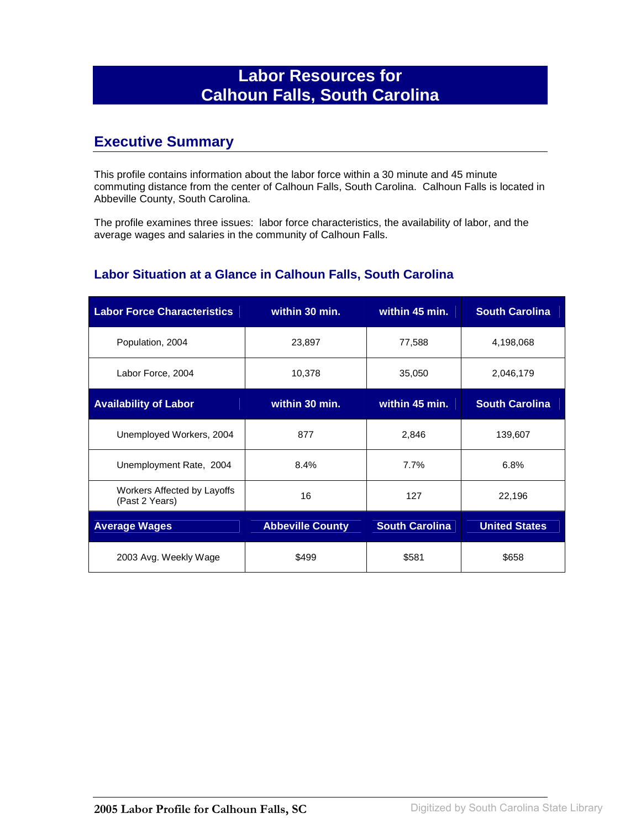# **Labor Resources for Calhoun Falls, South Carolina**

## **Executive Summary**

This profile contains information about the labor force within a 30 minute and 45 minute commuting distance from the center of Calhoun Falls, South Carolina. Calhoun Falls is located in Abbeville County, South Carolina.

The profile examines three issues: labor force characteristics, the availability of labor, and the average wages and salaries in the community of Calhoun Falls.

#### **Labor Situation at a Glance in Calhoun Falls, South Carolina**

| <b>Labor Force Characteristics</b>            | within 30 min.          | within 45 min.        | <b>South Carolina</b> |
|-----------------------------------------------|-------------------------|-----------------------|-----------------------|
| Population, 2004                              | 23,897                  | 77,588                | 4,198,068             |
| Labor Force, 2004                             | 10,378                  | 35,050                | 2,046,179             |
| <b>Availability of Labor</b>                  | within 30 min.          | within 45 min.        | <b>South Carolina</b> |
| Unemployed Workers, 2004                      | 877                     | 2,846                 | 139,607               |
| Unemployment Rate, 2004                       | 8.4%                    | 7.7%                  | 6.8%                  |
| Workers Affected by Layoffs<br>(Past 2 Years) | 16                      | 127                   | 22,196                |
| <b>Average Wages</b>                          | <b>Abbeville County</b> | <b>South Carolina</b> | <b>United States</b>  |
| 2003 Avg. Weekly Wage                         | \$499                   | \$581                 | \$658                 |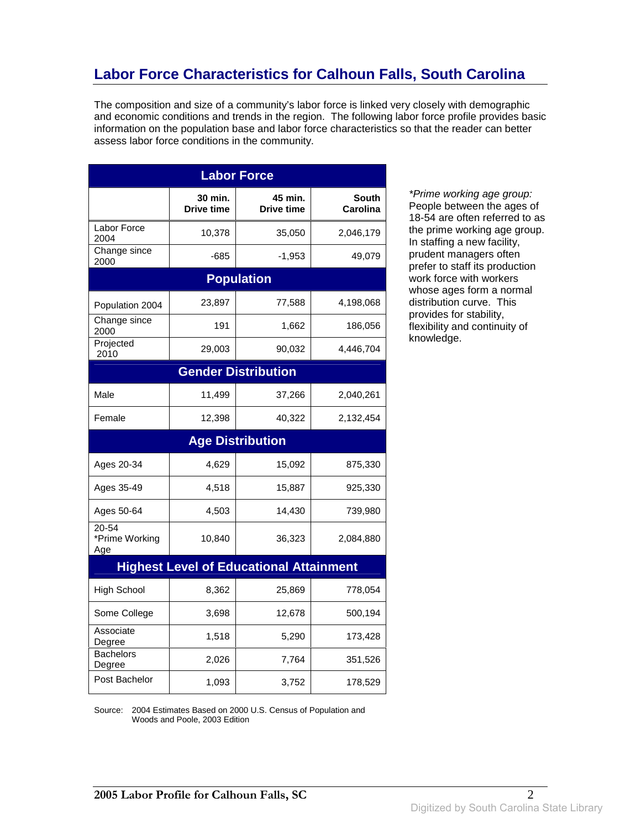# **Labor Force Characteristics for Calhoun Falls, South Carolina**

The composition and size of a community's labor force is linked very closely with demographic and economic conditions and trends in the region. The following labor force profile provides basic information on the population base and labor force characteristics so that the reader can better assess labor force conditions in the community.

| <b>Labor Force</b>             |                              |                                                |                          |
|--------------------------------|------------------------------|------------------------------------------------|--------------------------|
|                                | 30 min.<br><b>Drive time</b> | 45 min.<br><b>Drive time</b>                   | South<br><b>Carolina</b> |
| Labor Force<br>2004            | 10,378                       | 35,050                                         | 2,046,179                |
| Change since<br>2000           | -685                         | $-1,953$                                       | 49,079                   |
|                                |                              | <b>Population</b>                              |                          |
| Population 2004                | 23,897                       | 77,588                                         | 4,198,068                |
| Change since<br>2000           | 191                          | 1,662                                          | 186,056                  |
| Projected<br>2010              | 29,003                       | 90,032                                         | 4,446,704                |
|                                |                              | <b>Gender Distribution</b>                     |                          |
| Male                           | 11,499                       | 37,266                                         | 2,040,261                |
| Female                         | 12,398                       | 40,322                                         | 2,132,454                |
|                                |                              | <b>Age Distribution</b>                        |                          |
| Ages 20-34                     | 4,629                        | 15,092                                         | 875,330                  |
| Ages 35-49                     | 4,518                        | 15,887                                         | 925,330                  |
| Ages 50-64                     | 4,503                        | 14,430                                         | 739,980                  |
| 20-54<br>*Prime Working<br>Age | 10,840                       | 36,323                                         | 2,084,880                |
|                                |                              | <b>Highest Level of Educational Attainment</b> |                          |
| <b>High School</b>             | 8,362                        | 25,869                                         | 778,054                  |
| Some College                   | 3,698                        | 12,678                                         | 500,194                  |
| Associate<br>Degree            | 1,518                        | 5,290                                          | 173,428                  |
| <b>Bachelors</b><br>Degree     | 2,026                        | 7,764                                          | 351,526                  |
| Post Bachelor                  | 1,093                        | 3,752                                          | 178,529                  |

\*Prime working age group: People between the ages of 18-54 are often referred to as the prime working age group. In staffing a new facility, prudent managers often prefer to staff its production work force with workers whose ages form a normal distribution curve. This provides for stability, flexibility and continuity of knowledge.

Source: 2004 Estimates Based on 2000 U.S. Census of Population and Woods and Poole, 2003 Edition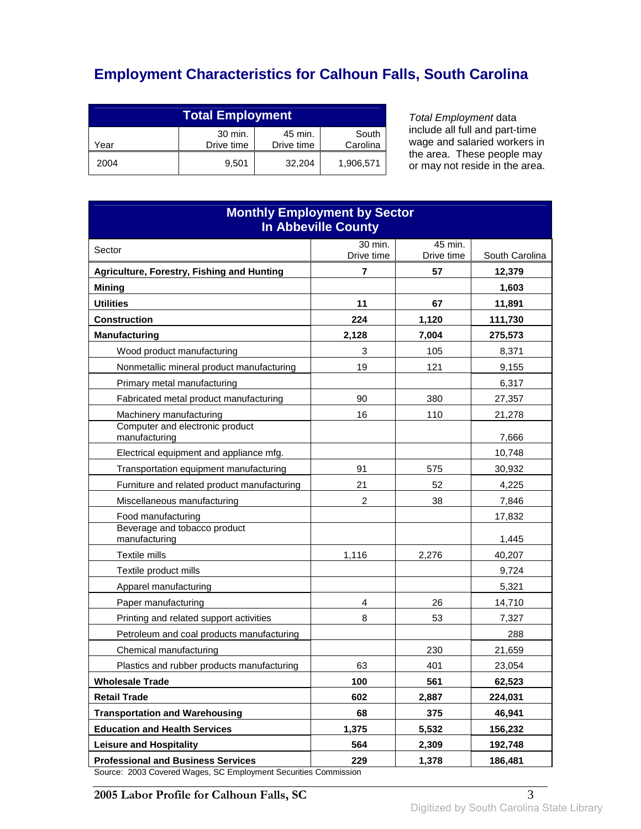# **Employment Characteristics for Calhoun Falls, South Carolina**

| <b>Total Employment</b>                                                     |       |        |           |
|-----------------------------------------------------------------------------|-------|--------|-----------|
| 30 min.<br>45 min.<br>South<br>Drive time<br>Drive time<br>Carolina<br>Year |       |        |           |
| 2004                                                                        | 9.501 | 32.204 | 1,906,571 |

Total Employment data include all full and part-time wage and salaried workers in the area. These people may or may not reside in the area.

| <b>Monthly Employment by Sector</b><br><b>In Abbeville County</b>                   |                       |                       |                |
|-------------------------------------------------------------------------------------|-----------------------|-----------------------|----------------|
| Sector                                                                              | 30 min.<br>Drive time | 45 min.<br>Drive time | South Carolina |
| Agriculture, Forestry, Fishing and Hunting                                          | 7                     | 57                    | 12,379         |
| <b>Mining</b>                                                                       |                       |                       | 1,603          |
| <b>Utilities</b>                                                                    | 11                    | 67                    | 11,891         |
| <b>Construction</b>                                                                 | 224                   | 1,120                 | 111,730        |
| <b>Manufacturing</b>                                                                | 2,128                 | 7,004                 | 275,573        |
| Wood product manufacturing                                                          | 3                     | 105                   | 8,371          |
| Nonmetallic mineral product manufacturing                                           | 19                    | 121                   | 9,155          |
| Primary metal manufacturing                                                         |                       |                       | 6,317          |
| Fabricated metal product manufacturing                                              | 90                    | 380                   | 27,357         |
| Machinery manufacturing                                                             | 16                    | 110                   | 21,278         |
| Computer and electronic product<br>manufacturing                                    |                       |                       | 7,666          |
| Electrical equipment and appliance mfg.                                             |                       |                       | 10,748         |
| Transportation equipment manufacturing                                              | 91                    | 575                   | 30,932         |
| Furniture and related product manufacturing                                         | 21                    | 52                    | 4,225          |
| Miscellaneous manufacturing                                                         | $\overline{2}$        | 38                    | 7,846          |
| Food manufacturing                                                                  |                       |                       | 17,832         |
| Beverage and tobacco product<br>manufacturing                                       |                       |                       | 1,445          |
| Textile mills                                                                       | 1,116                 | 2,276                 | 40,207         |
| Textile product mills                                                               |                       |                       | 9,724          |
| Apparel manufacturing                                                               |                       |                       | 5,321          |
| Paper manufacturing                                                                 | 4                     | 26                    | 14,710         |
| Printing and related support activities                                             | 8                     | 53                    | 7,327          |
| Petroleum and coal products manufacturing                                           |                       |                       | 288            |
| Chemical manufacturing                                                              |                       | 230                   | 21,659         |
| Plastics and rubber products manufacturing                                          | 63                    | 401                   | 23,054         |
| <b>Wholesale Trade</b>                                                              | 100                   | 561                   | 62,523         |
| <b>Retail Trade</b>                                                                 | 602                   | 2,887                 | 224,031        |
| <b>Transportation and Warehousing</b>                                               | 68                    | 375                   | 46,941         |
| <b>Education and Health Services</b>                                                | 1,375                 | 5,532                 | 156,232        |
| <b>Leisure and Hospitality</b>                                                      | 564                   | 2,309                 | 192,748        |
| <b>Professional and Business Services</b><br>2002 Covered Wesse CC Employment Coord | 229                   | 1,378                 | 186,481        |

Source: 2003 Covered Wages, SC Employment Securities Commission

**2005 Labor Profile for Calhoun Falls, SC** 3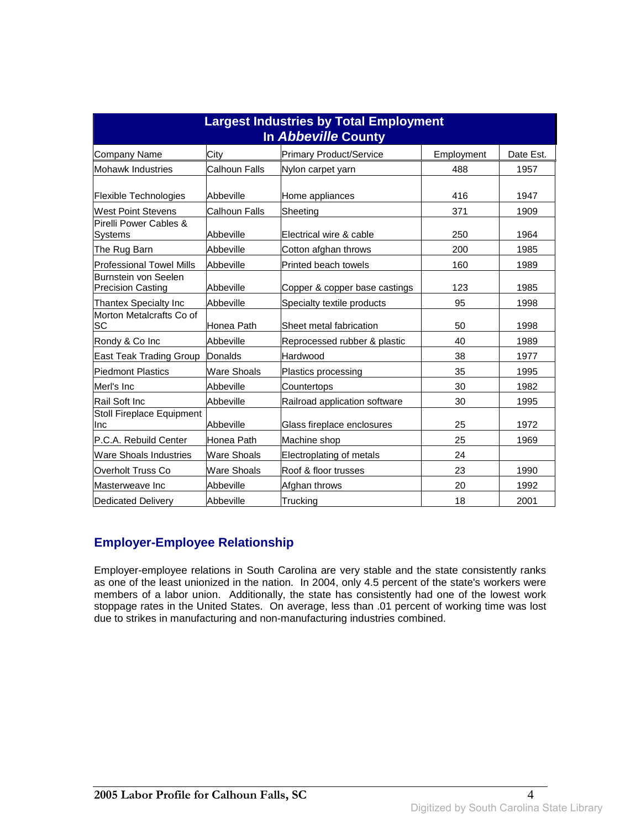| <b>Largest Industries by Total Employment</b><br><b>In Abbeville County</b> |                      |                                |            |           |
|-----------------------------------------------------------------------------|----------------------|--------------------------------|------------|-----------|
| Company Name                                                                | City                 | <b>Primary Product/Service</b> | Employment | Date Est. |
| <b>Mohawk Industries</b>                                                    | <b>Calhoun Falls</b> | Nylon carpet yarn              | 488        | 1957      |
| Flexible Technologies                                                       | Abbeville            | Home appliances                | 416        | 1947      |
| <b>West Point Stevens</b>                                                   | Calhoun Falls        | Sheeting                       | 371        | 1909      |
| Pirelli Power Cables &<br>Systems                                           | Abbeville            | Electrical wire & cable        | 250        | 1964      |
| The Rug Barn                                                                | Abbeville            | Cotton afghan throws           | 200        | 1985      |
| <b>Professional Towel Mills</b>                                             | Abbeville            | Printed beach towels           | 160        | 1989      |
| Burnstein von Seelen<br><b>Precision Casting</b>                            | Abbeville            | Copper & copper base castings  | 123        | 1985      |
| Thantex Specialty Inc                                                       | Abbeville            | Specialty textile products     | 95         | 1998      |
| Morton Metalcrafts Co of<br>SC                                              | Honea Path           | Sheet metal fabrication        | 50         | 1998      |
| Rondy & Co Inc                                                              | Abbeville            | Reprocessed rubber & plastic   | 40         | 1989      |
| East Teak Trading Group                                                     | <b>Donalds</b>       | Hardwood                       | 38         | 1977      |
| <b>Piedmont Plastics</b>                                                    | Ware Shoals          | Plastics processing            | 35         | 1995      |
| Merl's Inc                                                                  | Abbeville            | Countertops                    | 30         | 1982      |
| Rail Soft Inc                                                               | Abbeville            | Railroad application software  | 30         | 1995      |
| Stoll Fireplace Equipment<br>Inc                                            | Abbeville            | Glass fireplace enclosures     | 25         | 1972      |
| P.C.A. Rebuild Center                                                       | Honea Path           | Machine shop                   | 25         | 1969      |
| <b>Ware Shoals Industries</b>                                               | <b>Ware Shoals</b>   | Electroplating of metals       | 24         |           |
| Overholt Truss Co                                                           | Ware Shoals          | Roof & floor trusses           | 23         | 1990      |
| Masterweave Inc                                                             | Abbeville            | Afghan throws                  | 20         | 1992      |
| <b>Dedicated Delivery</b>                                                   | Abbeville            | Trucking                       | 18         | 2001      |

### **Employer-Employee Relationship**

Employer-employee relations in South Carolina are very stable and the state consistently ranks as one of the least unionized in the nation. In 2004, only 4.5 percent of the state's workers were members of a labor union. Additionally, the state has consistently had one of the lowest work stoppage rates in the United States. On average, less than .01 percent of working time was lost due to strikes in manufacturing and non-manufacturing industries combined.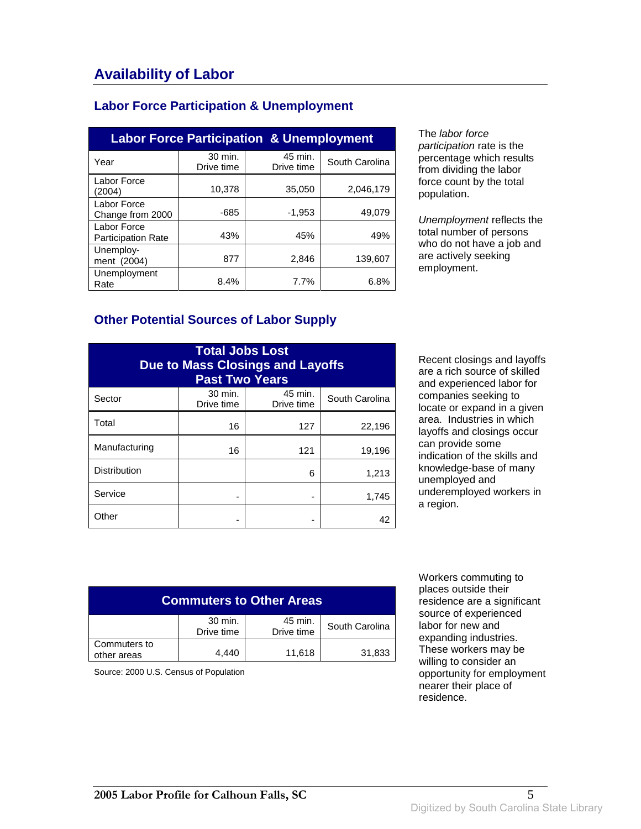### **Labor Force Participation & Unemployment**

| <b>Labor Force Participation &amp; Unemployment</b> |                       |                       |                |  |
|-----------------------------------------------------|-----------------------|-----------------------|----------------|--|
| Year                                                | 30 min.<br>Drive time | 45 min.<br>Drive time | South Carolina |  |
| Labor Force<br>(2004)                               | 10.378                | 35,050                | 2,046,179      |  |
| Labor Force<br>Change from 2000                     | $-685$                | $-1,953$              | 49.079         |  |
| Labor Force<br><b>Participation Rate</b>            | 43%                   | 45%                   | 49%            |  |
| Unemploy-<br>ment (2004)                            | 877                   | 2.846                 | 139,607        |  |
| Unemployment<br>Rate                                | 8.4%                  | 7.7%                  | 6.8%           |  |

The labor force participation rate is the percentage which results from dividing the labor force count by the total population.

Unemployment reflects the total number of persons who do not have a job and are actively seeking employment.

#### **Other Potential Sources of Labor Supply**

| <b>Total Jobs Lost</b><br><b>Due to Mass Closings and Layoffs</b><br><b>Past Two Years</b> |                       |                       |                |
|--------------------------------------------------------------------------------------------|-----------------------|-----------------------|----------------|
| Sector                                                                                     | 30 min.<br>Drive time | 45 min.<br>Drive time | South Carolina |
| Total                                                                                      | 16                    | 127                   | 22,196         |
| Manufacturing                                                                              | 16                    | 121                   | 19,196         |
| <b>Distribution</b>                                                                        |                       | 6                     | 1,213          |
| Service                                                                                    |                       |                       | 1,745          |
| Other                                                                                      |                       |                       | 42             |

Recent closings and layoffs are a rich source of skilled and experienced labor for companies seeking to locate or expand in a given area. Industries in which layoffs and closings occur can provide some indication of the skills and knowledge-base of many unemployed and underemployed workers in a region.

| <b>Commuters to Other Areas</b> |                       |                       |                |
|---------------------------------|-----------------------|-----------------------|----------------|
|                                 | 30 min.<br>Drive time | 45 min.<br>Drive time | South Carolina |
| Commuters to<br>other areas     | 4.440                 | 11,618                | 31,833         |

Source: 2000 U.S. Census of Population

 Workers commuting to places outside their residence are a significant source of experienced labor for new and expanding industries. These workers may be willing to consider an opportunity for employment nearer their place of residence.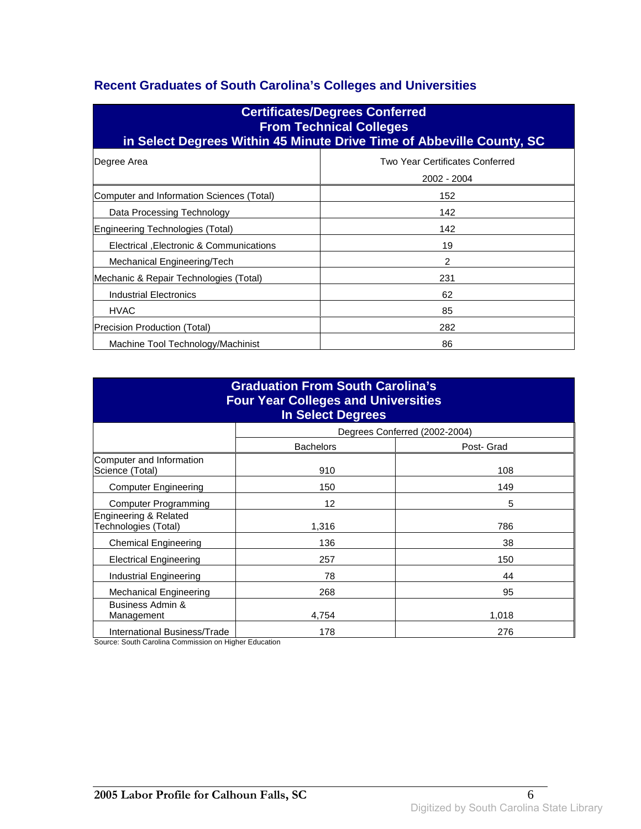### **Recent Graduates of South Carolina's Colleges and Universities**

| <b>Certificates/Degrees Conferred</b><br><b>From Technical Colleges</b><br>in Select Degrees Within 45 Minute Drive Time of Abbeville County, SC |                                                       |  |  |
|--------------------------------------------------------------------------------------------------------------------------------------------------|-------------------------------------------------------|--|--|
| Degree Area                                                                                                                                      | <b>Two Year Certificates Conferred</b><br>2002 - 2004 |  |  |
| Computer and Information Sciences (Total)                                                                                                        | 152                                                   |  |  |
| Data Processing Technology                                                                                                                       | 142                                                   |  |  |
| Engineering Technologies (Total)                                                                                                                 | 142                                                   |  |  |
| Electrical , Electronic & Communications                                                                                                         | 19                                                    |  |  |
| Mechanical Engineering/Tech                                                                                                                      | 2                                                     |  |  |
| Mechanic & Repair Technologies (Total)                                                                                                           | 231                                                   |  |  |
| Industrial Electronics                                                                                                                           | 62                                                    |  |  |
| <b>HVAC</b>                                                                                                                                      | 85                                                    |  |  |
| Precision Production (Total)                                                                                                                     | 282                                                   |  |  |
| Machine Tool Technology/Machinist                                                                                                                | 86                                                    |  |  |

| <b>Graduation From South Carolina's</b><br><b>Four Year Colleges and Universities</b><br><b>In Select Degrees</b> |                  |                               |  |
|-------------------------------------------------------------------------------------------------------------------|------------------|-------------------------------|--|
|                                                                                                                   |                  | Degrees Conferred (2002-2004) |  |
|                                                                                                                   | <b>Bachelors</b> | Post- Grad                    |  |
| Computer and Information<br>Science (Total)                                                                       | 910              | 108                           |  |
| <b>Computer Engineering</b>                                                                                       | 150              | 149                           |  |
| <b>Computer Programming</b>                                                                                       | 12               | 5                             |  |
| Engineering & Related<br>Technologies (Total)                                                                     | 1,316            | 786                           |  |
| <b>Chemical Engineering</b>                                                                                       | 136              | 38                            |  |
| <b>Electrical Engineering</b>                                                                                     | 257              | 150                           |  |
| Industrial Engineering                                                                                            | 78               | 44                            |  |
| <b>Mechanical Engineering</b>                                                                                     | 268              | 95                            |  |
| Business Admin &<br>Management                                                                                    | 4.754            | 1,018                         |  |
| International Business/Trade                                                                                      | 178              | 276                           |  |

Source: South Carolina Commission on Higher Education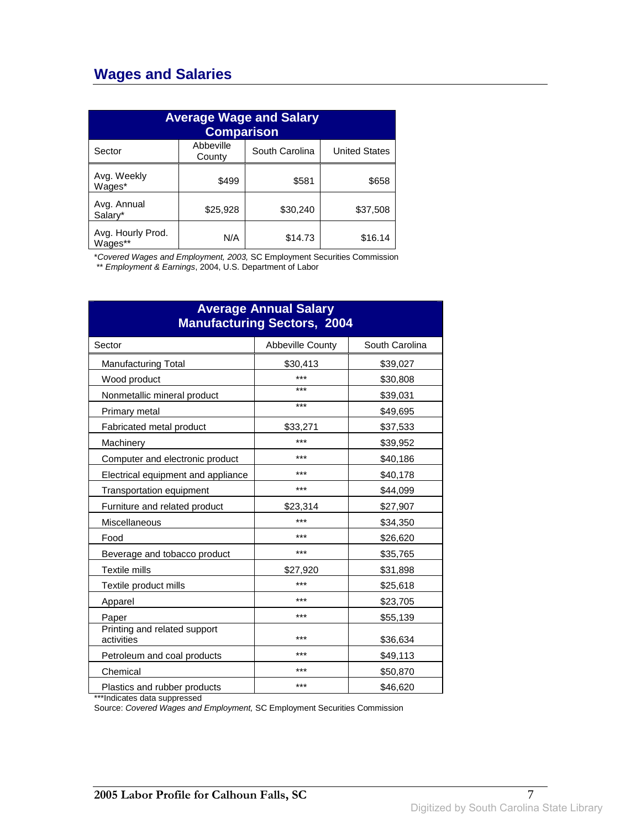## **Wages and Salaries**

| <b>Average Wage and Salary</b><br><b>Comparison</b> |                     |                |                      |
|-----------------------------------------------------|---------------------|----------------|----------------------|
| Sector                                              | Abbeville<br>County | South Carolina | <b>United States</b> |
| Avg. Weekly<br>Wages*                               | \$499               | \$581          | \$658                |
| Avg. Annual<br>Salary*                              | \$25,928            | \$30,240       | \$37,508             |
| Avg. Hourly Prod.<br>Wages**                        | N/A                 | \$14.73        | \$16.14              |

\*Covered Wages and Employment, 2003, SC Employment Securities Commission

\*\* Employment & Earnings, 2004, U.S. Department of Labor

| <b>Average Annual Salary</b><br><b>Manufacturing Sectors, 2004</b> |                         |                |  |
|--------------------------------------------------------------------|-------------------------|----------------|--|
| Sector                                                             | <b>Abbeville County</b> | South Carolina |  |
| <b>Manufacturing Total</b>                                         | \$30,413                | \$39,027       |  |
| Wood product                                                       | ***                     | \$30,808       |  |
| Nonmetallic mineral product                                        | ***                     | \$39,031       |  |
| Primary metal                                                      | ***                     | \$49,695       |  |
| Fabricated metal product                                           | \$33,271                | \$37,533       |  |
| Machinery                                                          | ***                     | \$39,952       |  |
| Computer and electronic product                                    | ***                     | \$40,186       |  |
| Electrical equipment and appliance                                 | ***                     | \$40,178       |  |
| Transportation equipment                                           | ***                     | \$44,099       |  |
| Furniture and related product                                      | \$23,314                | \$27,907       |  |
| Miscellaneous                                                      | ***                     | \$34,350       |  |
| Food                                                               | ***                     | \$26,620       |  |
| Beverage and tobacco product                                       | ***                     | \$35,765       |  |
| Textile mills                                                      | \$27,920                | \$31,898       |  |
| Textile product mills                                              | ***                     | \$25,618       |  |
| Apparel                                                            | ***                     | \$23,705       |  |
| Paper                                                              | ***                     | \$55,139       |  |
| Printing and related support<br>activities                         | ***                     | \$36,634       |  |
| Petroleum and coal products                                        | ***                     | \$49,113       |  |
| Chemical                                                           | ***                     | \$50,870       |  |
| Plastics and rubber products                                       | ***                     | \$46,620       |  |

\*\*\*Indicates data suppressed

Source: Covered Wages and Employment, SC Employment Securities Commission